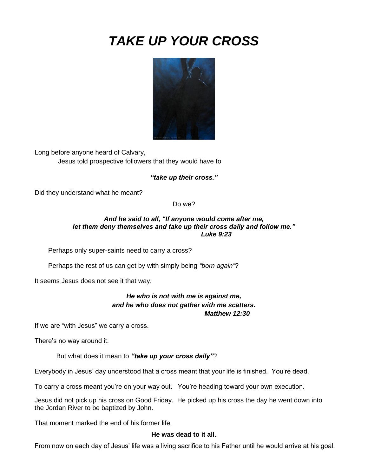# *TAKE UP YOUR CROSS*



Long before anyone heard of Calvary, Jesus told prospective followers that they would have to

*"take up their cross."*

Did they understand what he meant?

Do we?

## *And he said to all, "If anyone would come after me, let them deny themselves and take up their cross daily and follow me." Luke 9:23*

Perhaps only super-saints need to carry a cross?

Perhaps the rest of us can get by with simply being *"born again"*?

It seems Jesus does not see it that way.

# *He who is not with me is against me, and he who does not gather with me scatters. Matthew 12:30*

If we are "with Jesus" we carry a cross.

There's no way around it.

But what does it mean to *"take up your cross daily"*?

Everybody in Jesus' day understood that a cross meant that your life is finished. You're dead.

To carry a cross meant you're on your way out. You're heading toward your own execution.

Jesus did not pick up his cross on Good Friday. He picked up his cross the day he went down into the Jordan River to be baptized by John.

That moment marked the end of his former life.

#### **He was dead to it all.**

From now on each day of Jesus' life was a living sacrifice to his Father until he would arrive at his goal.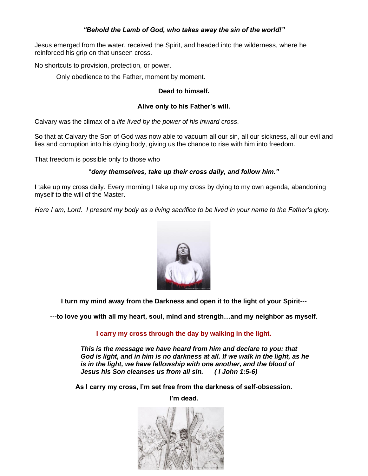# *"Behold the Lamb of God, who takes away the sin of the world!"*

Jesus emerged from the water, received the Spirit, and headed into the wilderness, where he reinforced his grip on that unseen cross.

No shortcuts to provision, protection, or power.

Only obedience to the Father, moment by moment.

#### **Dead to himself.**

## **Alive only to his Father's will.**

Calvary was the climax of a *life lived by the power of his inward cross*.

So that at Calvary the Son of God was now able to vacuum all our sin, all our sickness, all our evil and lies and corruption into his dying body, giving us the chance to rise with him into freedom.

That freedom is possible only to those who

#### "*deny themselves, take up their cross daily, and follow him."*

I take up my cross daily. Every morning I take up my cross by dying to my own agenda, abandoning myself to the will of the Master.

*Here I am, Lord. I present my body as a living sacrifice to be lived in your name to the Father's glory.*



**I turn my mind away from the Darkness and open it to the light of your Spirit---**

**---to love you with all my heart, soul, mind and strength…and my neighbor as myself.**

**I carry my cross through the day by walking in the light.**

*This is the message we have heard from him and declare to you: that God is light, and in him is no darkness at all. If we walk in the light, as he is in the light, we have fellowship with one another, and the blood of Jesus his Son cleanses us from all sin. ( I John 1:5-6)*

**As I carry my cross, I'm set free from the darkness of self-obsession.** 

**I'm dead.**